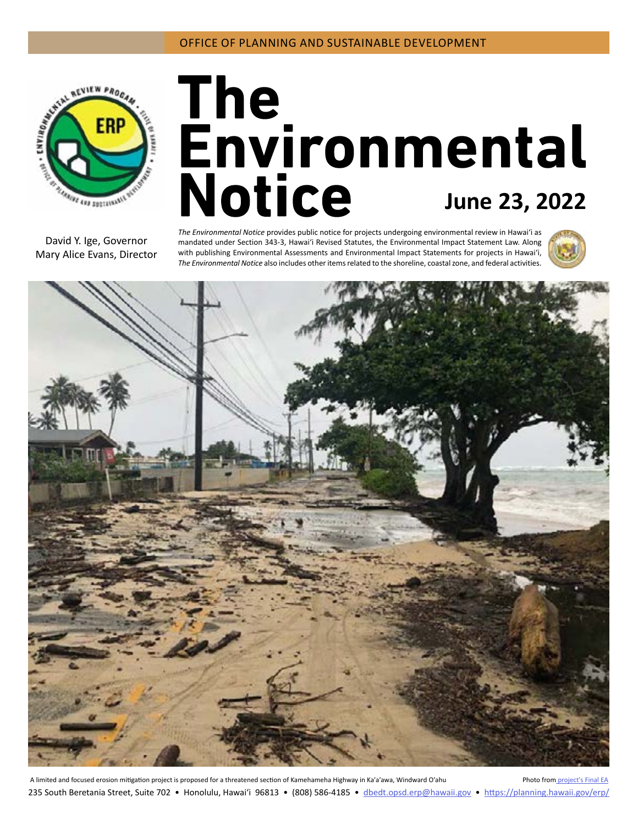

# The<br>Environmental **Notice** June 23, 2022

David Y. Ige, Governor Mary Alice Evans, Director *The Environmental Notice* provides public notice for projects undergoing environmental review in Hawaiʻi as mandated under Section 343-3, Hawaiʻi Revised Statutes, the Environmental Impact Statement Law. Along with publishing Environmental Assessments and Environmental Impact Statements for projects in Hawai'i, *The Environmental Notice* also includes other items related to the shoreline, coastal zone, and federal activities.





A limited and focused erosion mitigation project is proposed for a threatened section of Kamehameha Highway in Ka'a'awa, Windward O'ahu Photo from [project's Final EA](#page-3-0) 235 South Beretania Street, Suite 702 • Honolulu, Hawai'i 96813 • (808) 586-4185 • dbedt.opsd.erp[@hawaii.gov](mailto:dbedt.opsd.erp%40hawaii.gov?subject=) • <https://planning.hawaii.gov/erp/>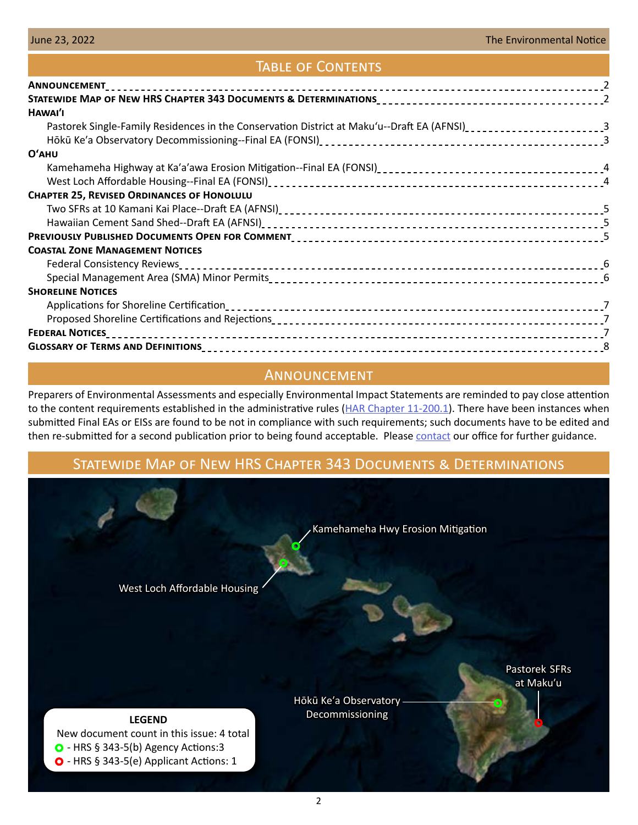## Table of Contents

| HAWAI'I                                                                                                                     |  |
|-----------------------------------------------------------------------------------------------------------------------------|--|
| Pastorek Single-Family Residences in the Conservation District at Maku'u--Draft EA (AFNSI) <sub>-------------------</sub> 3 |  |
|                                                                                                                             |  |
| O'AHU                                                                                                                       |  |
|                                                                                                                             |  |
|                                                                                                                             |  |
| <b>CHAPTER 25, REVISED ORDINANCES OF HONOLULU</b>                                                                           |  |
|                                                                                                                             |  |
|                                                                                                                             |  |
|                                                                                                                             |  |
| <b>COASTAL ZONE MANAGEMENT NOTICES</b>                                                                                      |  |
|                                                                                                                             |  |
|                                                                                                                             |  |
| <b>SHORELINE NOTICES</b>                                                                                                    |  |
|                                                                                                                             |  |
|                                                                                                                             |  |
|                                                                                                                             |  |
|                                                                                                                             |  |

## Announcement

Preparers of Environmental Assessments and especially Environmental Impact Statements are reminded to pay close attention to the content requirements established in the administrative rules [\(HAR Chapter 11-200.1\)](https://files.hawaii.gov/dbedt/erp/Laws/2019-HAR-11-200.1-Signed.pdf). There have been instances when submitted Final EAs or EISs are found to be not in compliance with such requirements; such documents have to be edited and then re-submitted for a second publication prior to being found acceptable. Please [contact](mailto:dbedt.opsd.erp%40hawaii.gov?subject=) our office for further guidance.

# Statewide Map of New HRS Chapter 343 Documents & Determinations

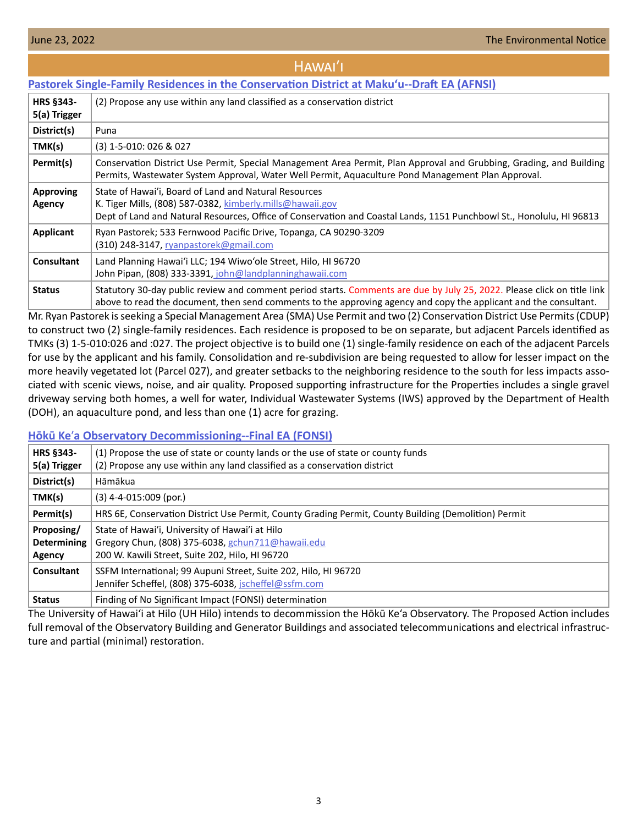<span id="page-2-0"></span>

| HAWAI'I                                                                                    |                                                                                                                                                                                                                                              |  |  |  |
|--------------------------------------------------------------------------------------------|----------------------------------------------------------------------------------------------------------------------------------------------------------------------------------------------------------------------------------------------|--|--|--|
| Pastorek Single-Family Residences in the Conservation District at Maku'u--Draft EA (AFNSI) |                                                                                                                                                                                                                                              |  |  |  |
| <b>HRS §343-</b><br>5(a) Trigger                                                           | (2) Propose any use within any land classified as a conservation district                                                                                                                                                                    |  |  |  |
| District(s)                                                                                | Puna                                                                                                                                                                                                                                         |  |  |  |
| TMK(s)                                                                                     | (3) 1-5-010: 026 & 027                                                                                                                                                                                                                       |  |  |  |
| Permit(s)                                                                                  | Conservation District Use Permit, Special Management Area Permit, Plan Approval and Grubbing, Grading, and Building<br>Permits, Wastewater System Approval, Water Well Permit, Aquaculture Pond Management Plan Approval.                    |  |  |  |
| <b>Approving</b><br>Agency                                                                 | State of Hawai'i, Board of Land and Natural Resources<br>K. Tiger Mills, (808) 587-0382, kimberly.mills@hawaii.gov<br>Dept of Land and Natural Resources, Office of Conservation and Coastal Lands, 1151 Punchbowl St., Honolulu, HI 96813   |  |  |  |
| <b>Applicant</b>                                                                           | Ryan Pastorek; 533 Fernwood Pacific Drive, Topanga, CA 90290-3209<br>(310) 248-3147, ryanpastorek@gmail.com                                                                                                                                  |  |  |  |
| <b>Consultant</b>                                                                          | Land Planning Hawai'i LLC; 194 Wiwo'ole Street, Hilo, HI 96720<br>John Pipan, (808) 333-3391, john@landplanninghawaii.com                                                                                                                    |  |  |  |
| <b>Status</b>                                                                              | Statutory 30-day public review and comment period starts. Comments are due by July 25, 2022. Please click on title link<br>above to read the document, then send comments to the approving agency and copy the applicant and the consultant. |  |  |  |

Mr. Ryan Pastorek is seeking a Special Management Area (SMA) Use Permit and two (2) Conservation District Use Permits (CDUP) to construct two (2) single-family residences. Each residence is proposed to be on separate, but adjacent Parcels identified as TMKs (3) 1-5-010:026 and :027. The project objective is to build one (1) single-family residence on each of the adjacent Parcels for use by the applicant and his family. Consolidation and re-subdivision are being requested to allow for lesser impact on the more heavily vegetated lot (Parcel 027), and greater setbacks to the neighboring residence to the south for less impacts associated with scenic views, noise, and air quality. Proposed supporting infrastructure for the Properties includes a single gravel driveway serving both homes, a well for water, Individual Wastewater Systems (IWS) approved by the Department of Health (DOH), an aquaculture pond, and less than one (1) acre for grazing.

## **Hōkū Ke**ʹ**[a Observatory Decommissioning--Final EA \(FONSI\)](https://files.hawaii.gov/dbedt/erp/Doc_Library/2022-06-23-HA-FEA-Hoku-Kea-Observatory-Decommissioning.pdf)**

| HRS §343-          | (1) Propose the use of state or county lands or the use of state or county funds                     |  |  |  |
|--------------------|------------------------------------------------------------------------------------------------------|--|--|--|
| 5(a) Trigger       | (2) Propose any use within any land classified as a conservation district                            |  |  |  |
| District(s)        | Hāmākua                                                                                              |  |  |  |
| TMK(s)             | $(3)$ 4-4-015:009 (por.)                                                                             |  |  |  |
| Permit(s)          | HRS 6E, Conservation District Use Permit, County Grading Permit, County Building (Demolition) Permit |  |  |  |
| Proposing/         | State of Hawai'i, University of Hawai'i at Hilo                                                      |  |  |  |
| <b>Determining</b> | Gregory Chun, (808) 375-6038, gchun711@hawaii.edu                                                    |  |  |  |
| Agency             | 200 W. Kawili Street, Suite 202, Hilo, HI 96720                                                      |  |  |  |
| Consultant         | SSFM International; 99 Aupuni Street, Suite 202, Hilo, HI 96720                                      |  |  |  |
|                    | Jennifer Scheffel, (808) 375-6038, jscheffel@ssfm.com                                                |  |  |  |
| <b>Status</b>      | Finding of No Significant Impact (FONSI) determination                                               |  |  |  |

The University of Hawai'i at Hilo (UH Hilo) intends to decommission the Hōkū Ke'a Observatory. The Proposed Action includes full removal of the Observatory Building and Generator Buildings and associated telecommunications and electrical infrastructure and partial (minimal) restoration.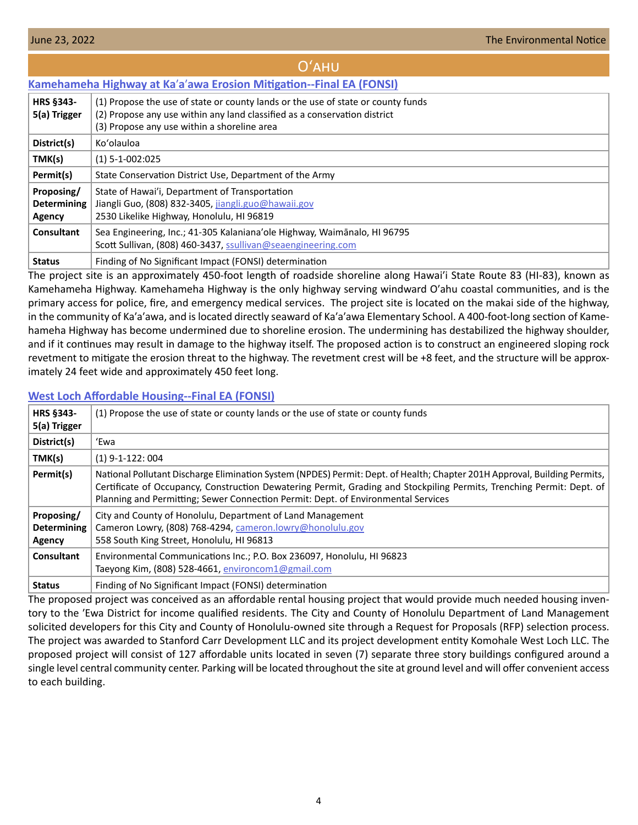<span id="page-3-0"></span>

| $O'$ AHU                                   |                                                                                                                                                                                                              |  |  |  |  |
|--------------------------------------------|--------------------------------------------------------------------------------------------------------------------------------------------------------------------------------------------------------------|--|--|--|--|
|                                            | Kamehameha Highway at Ka'a'awa Erosion Mitigation--Final EA (FONSI)                                                                                                                                          |  |  |  |  |
| <b>HRS §343-</b><br>5(a) Trigger           | (1) Propose the use of state or county lands or the use of state or county funds<br>(2) Propose any use within any land classified as a conservation district<br>(3) Propose any use within a shoreline area |  |  |  |  |
| District(s)                                | Ko'olauloa                                                                                                                                                                                                   |  |  |  |  |
| TMK(s)                                     | $(1) 5 - 1 - 002:025$                                                                                                                                                                                        |  |  |  |  |
| Permit(s)                                  | State Conservation District Use, Department of the Army                                                                                                                                                      |  |  |  |  |
| Proposing/<br><b>Determining</b><br>Agency | State of Hawai'i, Department of Transportation<br>Jiangli Guo, (808) 832-3405, jiangli.guo@hawaii.gov<br>2530 Likelike Highway, Honolulu, HI 96819                                                           |  |  |  |  |
| <b>Consultant</b>                          | Sea Engineering, Inc.; 41-305 Kalaniana'ole Highway, Waimanalo, HI 96795<br>Scott Sullivan, (808) 460-3437, ssullivan@seaengineering.com                                                                     |  |  |  |  |
| <b>Status</b>                              | Finding of No Significant Impact (FONSI) determination                                                                                                                                                       |  |  |  |  |

The project site is an approximately 450-foot length of roadside shoreline along Hawaiʹi State Route 83 (HI-83), known as Kamehameha Highway. Kamehameha Highway is the only highway serving windward Oʹahu coastal communities, and is the primary access for police, fire, and emergency medical services. The project site is located on the makai side of the highway, in the community of Ka'a'awa, and is located directly seaward of Ka'a'awa Elementary School. A 400-foot-long section of Kamehameha Highway has become undermined due to shoreline erosion. The undermining has destabilized the highway shoulder, and if it continues may result in damage to the highway itself. The proposed action is to construct an engineered sloping rock revetment to mitigate the erosion threat to the highway. The revetment crest will be +8 feet, and the structure will be approximately 24 feet wide and approximately 450 feet long.

## **[West Loch Affordable Housing--Final EA \(FONSI\)](https://files.hawaii.gov/dbedt/erp/Doc_Library/2022-06-23-OA-FEA-West-Loch-Affordable-Housing.pdf)**

| <b>HRS §343-</b><br>5(a) Trigger           | (1) Propose the use of state or county lands or the use of state or county funds                                                                                                                                                                                                                                                        |
|--------------------------------------------|-----------------------------------------------------------------------------------------------------------------------------------------------------------------------------------------------------------------------------------------------------------------------------------------------------------------------------------------|
| District(s)                                | 'Ewa                                                                                                                                                                                                                                                                                                                                    |
| TMK(s)                                     | $(1)$ 9-1-122: 004                                                                                                                                                                                                                                                                                                                      |
| Permit(s)                                  | National Pollutant Discharge Elimination System (NPDES) Permit: Dept. of Health; Chapter 201H Approval, Building Permits,<br>Certificate of Occupancy, Construction Dewatering Permit, Grading and Stockpiling Permits, Trenching Permit: Dept. of<br>Planning and Permitting; Sewer Connection Permit: Dept. of Environmental Services |
| Proposing/<br><b>Determining</b><br>Agency | City and County of Honolulu, Department of Land Management<br>Cameron Lowry, (808) 768-4294, cameron.lowry@honolulu.gov<br>558 South King Street, Honolulu, HI 96813                                                                                                                                                                    |
| <b>Consultant</b>                          | Environmental Communications Inc.; P.O. Box 236097, Honolulu, HI 96823<br>Taeyong Kim, (808) 528-4661, environcom1@gmail.com                                                                                                                                                                                                            |
| <b>Status</b>                              | Finding of No Significant Impact (FONSI) determination                                                                                                                                                                                                                                                                                  |

The proposed project was conceived as an affordable rental housing project that would provide much needed housing inventory to the 'Ewa District for income qualified residents. The City and County of Honolulu Department of Land Management solicited developers for this City and County of Honolulu-owned site through a Request for Proposals (RFP) selection process. The project was awarded to Stanford Carr Development LLC and its project development entity Komohale West Loch LLC. The proposed project will consist of 127 affordable units located in seven (7) separate three story buildings configured around a single level central community center. Parking will be located throughout the site at ground level and will offer convenient access to each building.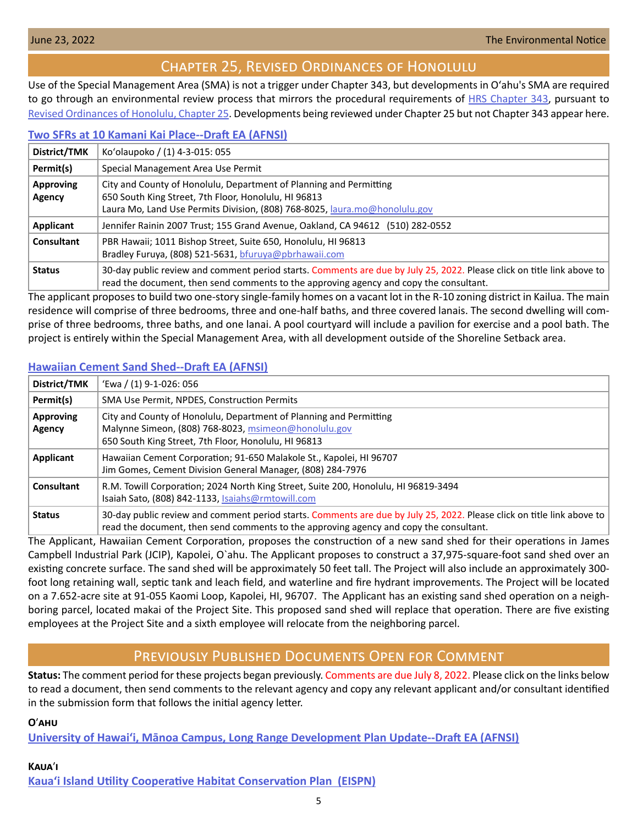# Chapter 25, Revised Ordinances of Honolulu

<span id="page-4-0"></span>Use of the Special Management Area (SMA) is not a trigger under Chapter 343, but developments in Oʻahu's SMA are required to go through an environmental review process that mirrors the procedural requirements of [HRS Chapter 343](https://www.capitol.hawaii.gov/hrscurrent/Vol06_Ch0321-0344/HRS0343/HRS_0343-.htm), pursuant to [Revised Ordinances of Honolulu, Chapter 25.](https://www.honolulu.gov/rep/site/ocs/roh/ROH_Chapter_25_article_1_12.pdf) Developments being reviewed under Chapter 25 but not Chapter 343 appear here.

## **[Two SFRs at 10 Kamani Kai Place--Draft EA \(AFNSI\)](https://files.hawaii.gov/dbedt/erp/Other_TEN_Publications/2022-06-23-OA-Chapter-25-DEA-Two-SFRs-at-10-Kamani-Kai-Place.pdf)**

| District/TMK               | Ko'olaupoko / (1) 4-3-015: 055                                                                                                                                                                                   |
|----------------------------|------------------------------------------------------------------------------------------------------------------------------------------------------------------------------------------------------------------|
| Permit(s)                  | Special Management Area Use Permit                                                                                                                                                                               |
| <b>Approving</b><br>Agency | City and County of Honolulu, Department of Planning and Permitting<br>650 South King Street, 7th Floor, Honolulu, HI 96813<br>Laura Mo, Land Use Permits Division, (808) 768-8025, laura.mo@honolulu.gov         |
| Applicant                  | Jennifer Rainin 2007 Trust; 155 Grand Avenue, Oakland, CA 94612 (510) 282-0552                                                                                                                                   |
| <b>Consultant</b>          | PBR Hawaii; 1011 Bishop Street, Suite 650, Honolulu, HI 96813<br>Bradley Furuya, (808) 521-5631, bfuruya@pbrhawaii.com                                                                                           |
| <b>Status</b>              | 30-day public review and comment period starts. Comments are due by July 25, 2022. Please click on title link above to<br>read the document, then send comments to the approving agency and copy the consultant. |

The applicant proposes to build two one-story single-family homes on a vacant lot in the R-10 zoning district in Kailua. The main residence will comprise of three bedrooms, three and one-half baths, and three covered lanais. The second dwelling will comprise of three bedrooms, three baths, and one lanai. A pool courtyard will include a pavilion for exercise and a pool bath. The project is entirely within the Special Management Area, with all development outside of the Shoreline Setback area.

## **[Hawaiian Cement Sand Shed--Draft EA \(AFNSI\)](https://files.hawaii.gov/dbedt/erp/Other_TEN_Publications/2022-06-23-OA-Chapter-25-DEA-Hawaiian-Cement-Sand-Shed.pdf)**

| District/TMK                      | 'Ewa / (1) 9-1-026: 056                                                                                                                                                                                          |
|-----------------------------------|------------------------------------------------------------------------------------------------------------------------------------------------------------------------------------------------------------------|
| Permit(s)                         | SMA Use Permit, NPDES, Construction Permits                                                                                                                                                                      |
| <b>Approving</b><br><b>Agency</b> | City and County of Honolulu, Department of Planning and Permitting<br>Malynne Simeon, (808) 768-8023, msimeon@honolulu.gov<br>650 South King Street, 7th Floor, Honolulu, HI 96813                               |
| Applicant                         | Hawaiian Cement Corporation; 91-650 Malakole St., Kapolei, HI 96707<br>Jim Gomes, Cement Division General Manager, (808) 284-7976                                                                                |
| Consultant                        | R.M. Towill Corporation; 2024 North King Street, Suite 200, Honolulu, HI 96819-3494<br>Isaiah Sato, (808) 842-1133, Isaiahs@rmtowill.com                                                                         |
| <b>Status</b>                     | 30-day public review and comment period starts. Comments are due by July 25, 2022. Please click on title link above to<br>read the document, then send comments to the approving agency and copy the consultant. |

The Applicant, Hawaiian Cement Corporation, proposes the construction of a new sand shed for their operations in James Campbell Industrial Park (JCIP), Kapolei, O`ahu. The Applicant proposes to construct a 37,975‐square‐foot sand shed over an existing concrete surface. The sand shed will be approximately 50 feet tall. The Project will also include an approximately 300‐ foot long retaining wall, septic tank and leach field, and waterline and fire hydrant improvements. The Project will be located on a 7.652‐acre site at 91‐055 Kaomi Loop, Kapolei, HI, 96707. The Applicant has an existing sand shed operation on a neighboring parcel, located makai of the Project Site. This proposed sand shed will replace that operation. There are five existing employees at the Project Site and a sixth employee will relocate from the neighboring parcel.

# Previously Published Documents Open for Comment

**Status:** The comment period for these projects began previously. Comments are due July 8, 2022. Please click on the links below to read a document, then send comments to the relevant agency and copy any relevant applicant and/or consultant identified in the submission form that follows the initial agency letter.

**O**ʹ**ahu**

**[University of Hawai'i, Mānoa Campus, Long Range Development Plan Update--Draft EA \(AFNSI\)](https://files.hawaii.gov/dbedt/erp/Doc_Library/2022-06-08-OA-DEA-UHM-LRDP.pdf)**

# **Kaua**ʹ**i [Kauaʻi Island Utility Cooperative Habitat Conservation Plan \(EISPN\)](https://files.hawaii.gov/dbedt/erp/Doc_Library/2022-06-08-KA-EISPN-Kauai-Island-Utility-Cooperative-Habitat-Conservation-Plan.pdf)**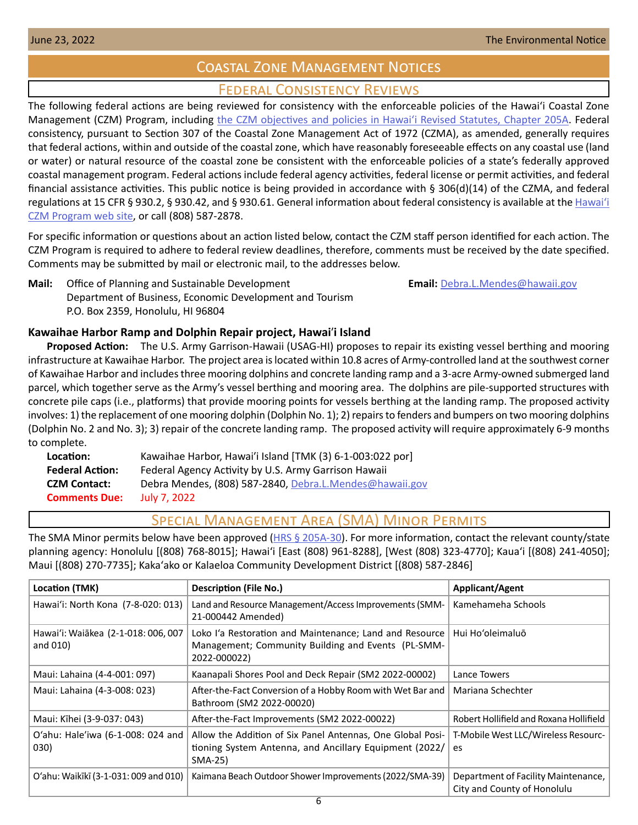# Coastal Zone Management Notices

# Federal Consistency Reviews

<span id="page-5-0"></span>The following federal actions are being reviewed for consistency with the enforceable policies of the Hawaiʻi Coastal Zone Management (CZM) Program, including the CZM objectives and policies in Hawai'i Revised Statutes, Chapter 205A. Federal consistency, pursuant to Section 307 of the Coastal Zone Management Act of 1972 (CZMA), as amended, generally requires that federal actions, within and outside of the coastal zone, which have reasonably foreseeable effects on any coastal use (land or water) or natural resource of the coastal zone be consistent with the enforceable policies of a state's federally approved coastal management program. Federal actions include federal agency activities, federal license or permit activities, and federal financial assistance activities. This public notice is being provided in accordance with § 306(d)(14) of the CZMA, and federal regulations at 15 CFR § 930.2, § 930.42, and § 930.61. General information about federal consistency is available at the [Hawai](http://planning.hawaii.gov/czm/federal-consistency/)ʻi [CZM Program web site,](http://planning.hawaii.gov/czm/federal-consistency/) or call (808) 587-2878.

For specific information or questions about an action listed below, contact the CZM staff person identified for each action. The CZM Program is required to adhere to federal review deadlines, therefore, comments must be received by the date specified. Comments may be submitted by mail or electronic mail, to the addresses below.

**Mail:** Office of Planning and Sustainable Development **Email:** [Debra.L.Mendes@hawaii.gov](mailto:Debra.L.Mendes%40hawaii.gov?subject=) Department of Business, Economic Development and Tourism P.O. Box 2359, Honolulu, HI 96804

## **Kawaihae Harbor Ramp and Dolphin Repair project, Hawai**ʹ**i Island**

**Proposed Action:** The U.S. Army Garrison-Hawaii (USAG-HI) proposes to repair its existing vessel berthing and mooring infrastructure at Kawaihae Harbor. The project area is located within 10.8 acres of Army-controlled land at the southwest corner of Kawaihae Harbor and includes three mooring dolphins and concrete landing ramp and a 3-acre Army-owned submerged land parcel, which together serve as the Army's vessel berthing and mooring area. The dolphins are pile-supported structures with concrete pile caps (i.e., platforms) that provide mooring points for vessels berthing at the landing ramp. The proposed activity involves: 1) the replacement of one mooring dolphin (Dolphin No. 1); 2) repairs to fenders and bumpers on two mooring dolphins (Dolphin No. 2 and No. 3); 3) repair of the concrete landing ramp. The proposed activity will require approximately 6-9 months to complete.

| Location:              | Kawaihae Harbor, Hawai'i Island [TMK (3) 6-1-003:022 por] |
|------------------------|-----------------------------------------------------------|
| <b>Federal Action:</b> | Federal Agency Activity by U.S. Army Garrison Hawaii      |
| <b>CZM Contact:</b>    | Debra Mendes, (808) 587-2840, Debra.L.Mendes@hawaii.gov   |
| <b>Comments Due:</b>   | July 7, 2022                                              |

## Special Management Area (SMA) Minor Permits

The SMA Minor permits below have been approved [\(HRS § 205A-30\)](https://www.capitol.hawaii.gov/hrscurrent/Vol04_Ch0201-0257/HRS0205A/HRS_0205A-0030.htm). For more information, contact the relevant county/state planning agency: Honolulu [(808) 768-8015]; Hawaiʻi [East (808) 961-8288], [West (808) 323-4770]; Kauaʻi [(808) 241-4050]; Maui [(808) 270-7735]; Kakaʻako or Kalaeloa Community Development District [(808) 587-2846]

| Location (TMK)                                  | <b>Description (File No.)</b>                                                                                                   | <b>Applicant/Agent</b>                                             |
|-------------------------------------------------|---------------------------------------------------------------------------------------------------------------------------------|--------------------------------------------------------------------|
| Hawai'i: North Kona (7-8-020: 013)              | Land and Resource Management/Access Improvements (SMM-<br>21-000442 Amended)                                                    | Kamehameha Schools                                                 |
| Hawai'i: Waiākea (2-1-018: 006, 007<br>and 010) | Loko I'a Restoration and Maintenance; Land and Resource<br>Management; Community Building and Events (PL-SMM-<br>2022-000022)   | Hui Ho'oleimaluō                                                   |
| Maui: Lahaina (4-4-001: 097)                    | Kaanapali Shores Pool and Deck Repair (SM2 2022-00002)                                                                          | Lance Towers                                                       |
| Maui: Lahaina (4-3-008: 023)                    | After-the-Fact Conversion of a Hobby Room with Wet Bar and<br>Bathroom (SM2 2022-00020)                                         | Mariana Schechter                                                  |
| Maui: Kīhei (3-9-037: 043)                      | After-the-Fact Improvements (SM2 2022-00022)                                                                                    | Robert Hollifield and Roxana Hollifield                            |
| O'ahu: Hale'iwa (6-1-008: 024 and<br>030)       | Allow the Addition of Six Panel Antennas, One Global Posi-<br>tioning System Antenna, and Ancillary Equipment (2022/<br>SMA-25) | T-Mobile West LLC/Wireless Resourc-<br>es                          |
| O'ahu: Waikīkī (3-1-031: 009 and 010)           | Kaimana Beach Outdoor Shower Improvements (2022/SMA-39)                                                                         | Department of Facility Maintenance,<br>City and County of Honolulu |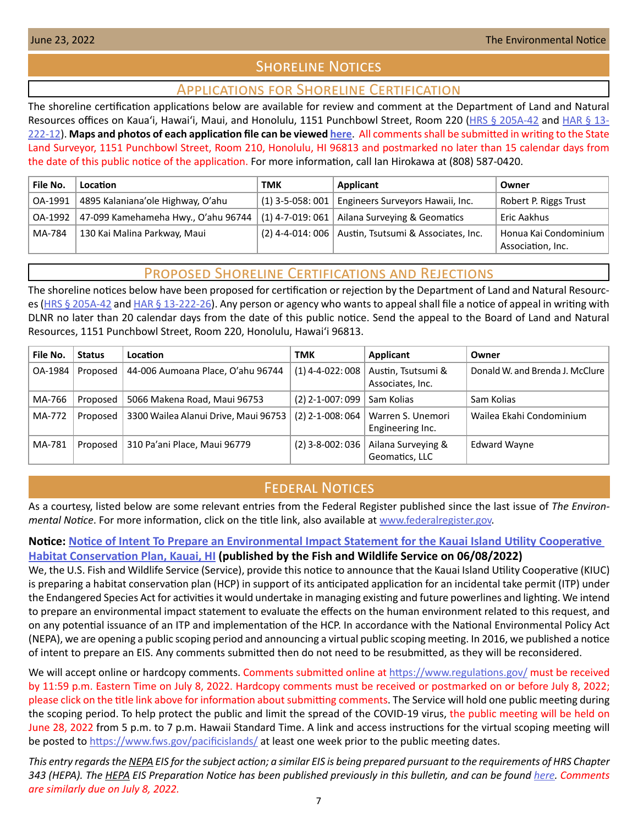# **SHORELINE NOTICES**

## Applications for Shoreline Certification

<span id="page-6-0"></span>The shoreline certification applications below are available for review and comment at the Department of Land and Natural Resources offices on Kaua'i, Hawai'i, Maui, and Honolulu, 1151 Punchbowl Street, Room 220 ([HRS § 205A-42](https://www.capitol.hawaii.gov/hrscurrent/Vol04_Ch0201-0257/HRS0205A/HRS_0205A-0042.htm) and [HAR § 13-](https://dlnr.hawaii.gov/ld/files/2013/07/Ch13-222-Amend-Compil-Stand-Rev1.pdf) [222-12](https://dlnr.hawaii.gov/ld/files/2013/07/Ch13-222-Amend-Compil-Stand-Rev1.pdf)). **Maps and photos of each application file can be viewed [here](https://ags.hawaii.gov/survey/shoreline/#apps)**. All comments shall be submitted in writing to the State Land Surveyor, 1151 Punchbowl Street, Room 210, Honolulu, HI 96813 and postmarked no later than 15 calendar days from the date of this public notice of the application. For more information, call Ian Hirokawa at (808) 587-0420.

| File No. | Location                            | <b>TMK</b> | Applicant                                              | Owner                                        |
|----------|-------------------------------------|------------|--------------------------------------------------------|----------------------------------------------|
| OA-1991  | 4895 Kalaniana'ole Highway, O'ahu   |            | $(1)$ 3-5-058: 001   Engineers Surveyors Hawaii, Inc.  | Robert P. Riggs Trust                        |
| OA-1992  | 47-099 Kamehameha Hwy., O'ahu 96744 |            | $(1)$ 4-7-019: 061   Ailana Surveying & Geomatics      | Eric Aakhus                                  |
| MA-784   | 130 Kai Malina Parkway, Maui        |            | (2) 4-4-014: 006   Austin, Tsutsumi & Associates, Inc. | Honua Kai Condominium  <br>Association, Inc. |

## Proposed Shoreline Certifications and Rejections

The shoreline notices below have been proposed for certification or rejection by the Department of Land and Natural Resourc-es [\(HRS § 205A-42](http://HRS § 205A-42) and [HAR § 13-222-26\)](https://dlnr.hawaii.gov/ld/files/2013/07/Ch13-222-Amend-Compil-Stand-Rev1.pdf). Any person or agency who wants to appeal shall file a notice of appeal in writing with DLNR no later than 20 calendar days from the date of this public notice. Send the appeal to the Board of Land and Natural Resources, 1151 Punchbowl Street, Room 220, Honolulu, Hawai'i 96813.

| File No. | <b>Status</b> | Location                             | TMK                | Applicant                              | Owner                           |
|----------|---------------|--------------------------------------|--------------------|----------------------------------------|---------------------------------|
| OA-1984  | Proposed      | 44-006 Aumoana Place, O'ahu 96744    | $(1)$ 4-4-022: 008 | Austin, Tsutsumi &<br>Associates, Inc. | Donald W. and Brenda J. McClure |
| MA-766   | Proposed      | 5066 Makena Road, Maui 96753         | $(2)$ 2-1-007: 099 | Sam Kolias                             | Sam Kolias                      |
| MA-772   | Proposed      | 3300 Wailea Alanui Drive, Maui 96753 | $(2)$ 2-1-008: 064 | Warren S. Unemori<br>Engineering Inc.  | Wailea Ekahi Condominium        |
| MA-781   | Proposed      | 310 Pa'ani Place, Maui 96779         | $(2)$ 3-8-002: 036 | Ailana Surveying &<br>Geomatics, LLC   | <b>Edward Wayne</b>             |

# **FEDERAL NOTICES**

As a courtesy, listed below are some relevant entries from the Federal Register published since the last issue of *The Environmental Notice*. For more information, click on the title link, also available at [www.federalregister.gov.](http://www.federalregister.gov)

## **Notice: [Notice of Intent To Prepare an Environmental Impact Statement for the Kauai Island Utility Cooperative](https://www.federalregister.gov/documents/2022/06/08/2022-11746/notice-of-intent-to-prepare-an-environmental-impact-statement-for-the-kauai-island-utility)  [Habitat Conservation Plan, Kauai, HI](https://www.federalregister.gov/documents/2022/06/08/2022-11746/notice-of-intent-to-prepare-an-environmental-impact-statement-for-the-kauai-island-utility) (published by the Fish and Wildlife Service on 06/08/2022)**

We, the U.S. Fish and Wildlife Service (Service), provide this notice to announce that the Kauai Island Utility Cooperative (KIUC) is preparing a habitat conservation plan (HCP) in support of its anticipated application for an incidental take permit (ITP) under the Endangered Species Act for activities it would undertake in managing existing and future powerlines and lighting. We intend to prepare an environmental impact statement to evaluate the effects on the human environment related to this request, and on any potential issuance of an ITP and implementation of the HCP. In accordance with the National Environmental Policy Act (NEPA), we are opening a public scoping period and announcing a virtual public scoping meeting. In 2016, we published a notice of intent to prepare an EIS. Any comments submitted then do not need to be resubmitted, as they will be reconsidered.

We will accept online or hardcopy comments. Comments submitted online at <https://www.regulations.gov/> must be received by 11:59 p.m. Eastern Time on July 8, 2022. Hardcopy comments must be received or postmarked on or before July 8, 2022; please click on the title link above for information about submitting comments. The Service will hold one public meeting during the scoping period. To help protect the public and limit the spread of the COVID-19 virus, the public meeting will be held on June 28, 2022 from 5 p.m. to 7 p.m. Hawaii Standard Time. A link and access instructions for the virtual scoping meeting will be posted to [https://www.fws.gov/pacificislands/](https://www.fws.gov/ pacificislands/ ) at least one week prior to the public meeting dates.

*This entry regards the NEPA EIS for the subject action; a similar EIS is being prepared pursuant to the requirements of HRS Chapter 343 (HEPA). The HEPA EIS Preparation Notice has been published previously in this bulletin, and can be found [here](https://files.hawaii.gov/dbedt/erp/Doc_Library/2022-06-08-KA-EISPN-Kauai-Island-Utility-Cooperative-Habitat-Conservation-Plan.pdf). Comments are similarly due on July 8, 2022.*